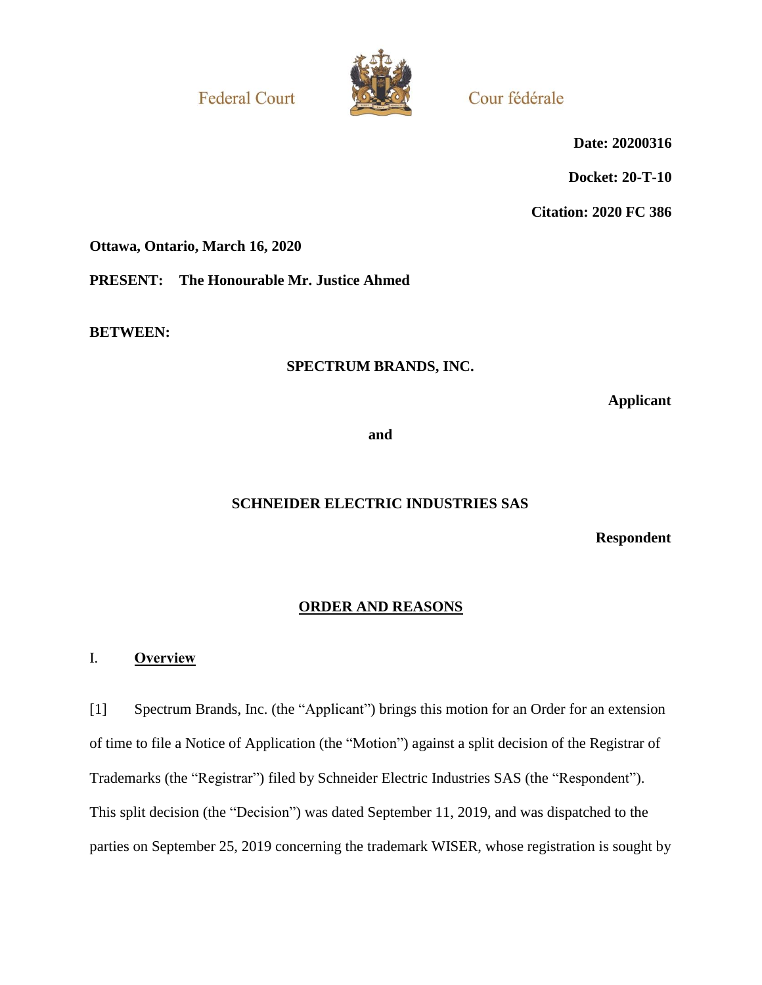**Federal Court** 



Cour fédérale

**Date: 20200316**

**Docket: 20-T-10**

**Citation: 2020 FC 386**

**Ottawa, Ontario, March 16, 2020**

**PRESENT: The Honourable Mr. Justice Ahmed**

**BETWEEN:**

# **SPECTRUM BRANDS, INC.**

**Applicant**

**and**

# **SCHNEIDER ELECTRIC INDUSTRIES SAS**

**Respondent**

# **ORDER AND REASONS**

## I. **Overview**

[1] Spectrum Brands, Inc. (the "Applicant") brings this motion for an Order for an extension of time to file a Notice of Application (the "Motion") against a split decision of the Registrar of Trademarks (the "Registrar") filed by Schneider Electric Industries SAS (the "Respondent"). This split decision (the "Decision") was dated September 11, 2019, and was dispatched to the parties on September 25, 2019 concerning the trademark WISER, whose registration is sought by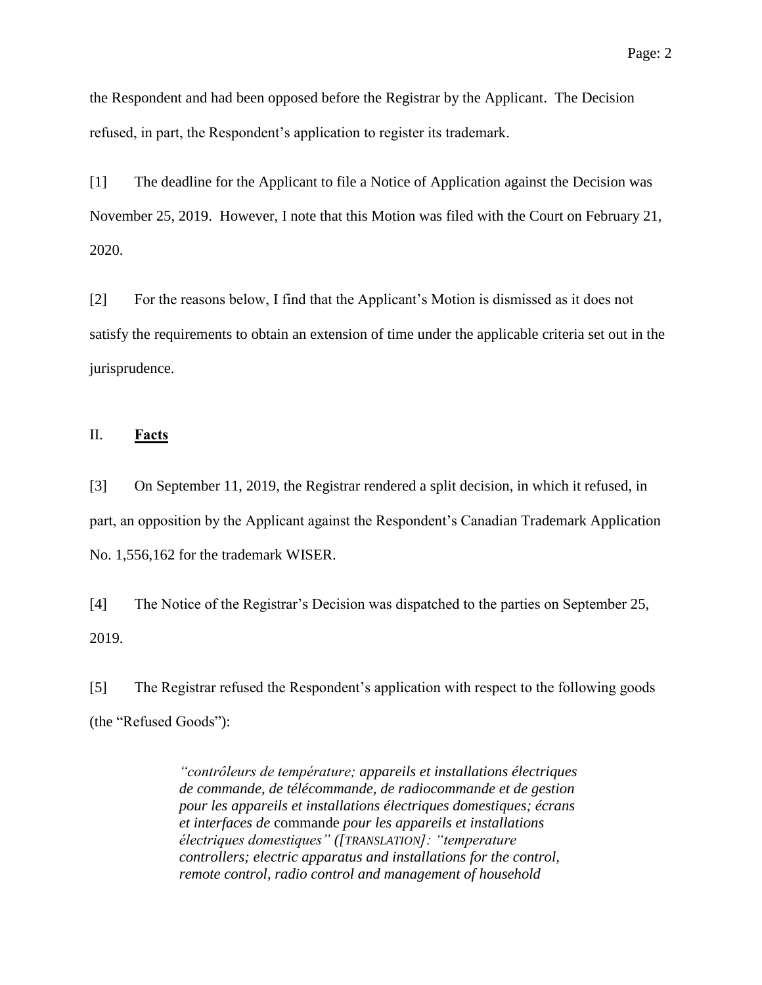the Respondent and had been opposed before the Registrar by the Applicant. The Decision refused, in part, the Respondent's application to register its trademark.

[1] The deadline for the Applicant to file a Notice of Application against the Decision was November 25, 2019. However, I note that this Motion was filed with the Court on February 21, 2020.

[2] For the reasons below, I find that the Applicant's Motion is dismissed as it does not satisfy the requirements to obtain an extension of time under the applicable criteria set out in the jurisprudence.

### II. **Facts**

[3] On September 11, 2019, the Registrar rendered a split decision, in which it refused, in part, an opposition by the Applicant against the Respondent's Canadian Trademark Application No. 1,556,162 for the trademark WISER.

[4] The Notice of the Registrar's Decision was dispatched to the parties on September 25, 2019.

[5] The Registrar refused the Respondent's application with respect to the following goods (the "Refused Goods"):

> *"contrôleurs de température; appareils et installations électriques de commande, de télécommande, de radiocommande et de gestion pour les appareils et installations électriques domestiques; écrans et interfaces de* commande *pour les appareils et installations électriques domestiques" ([TRANSLATION]: "temperature controllers; electric apparatus and installations for the control, remote control, radio control and management of household*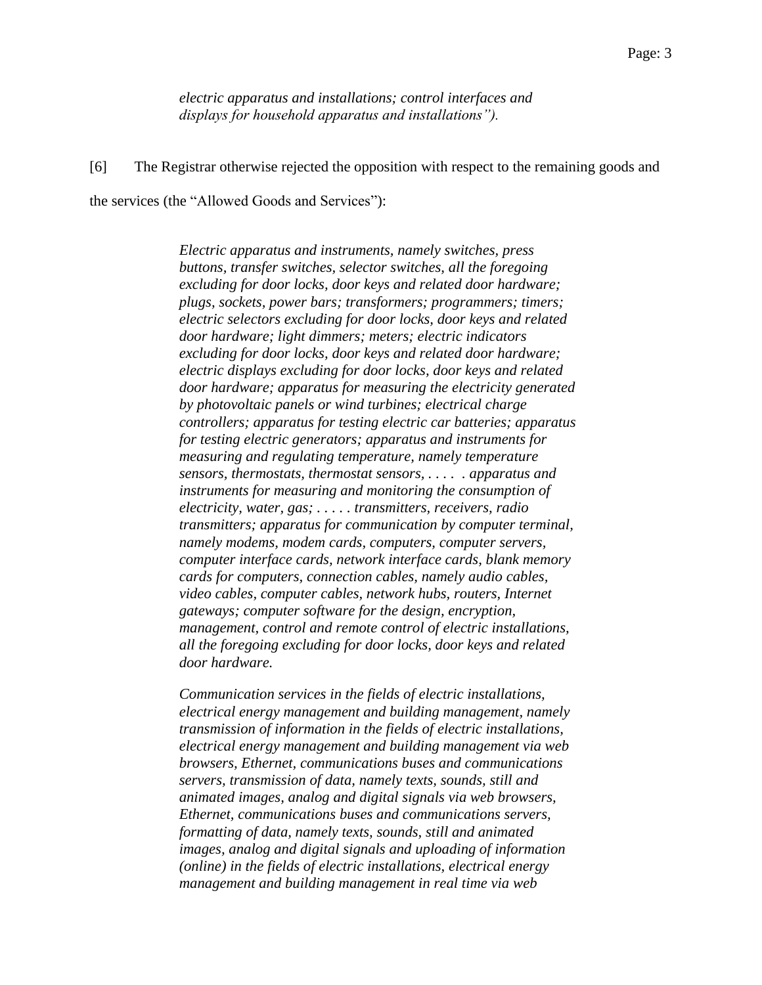*electric apparatus and installations; control interfaces and displays for household apparatus and installations").*

[6] The Registrar otherwise rejected the opposition with respect to the remaining goods and the services (the "Allowed Goods and Services"):

> *Electric apparatus and instruments, namely switches, press buttons, transfer switches, selector switches, all the foregoing excluding for door locks, door keys and related door hardware; plugs, sockets, power bars; transformers; programmers; timers; electric selectors excluding for door locks, door keys and related door hardware; light dimmers; meters; electric indicators excluding for door locks, door keys and related door hardware; electric displays excluding for door locks, door keys and related door hardware; apparatus for measuring the electricity generated by photovoltaic panels or wind turbines; electrical charge controllers; apparatus for testing electric car batteries; apparatus for testing electric generators; apparatus and instruments for measuring and regulating temperature, namely temperature sensors, thermostats, thermostat sensors, . . . . . apparatus and instruments for measuring and monitoring the consumption of electricity, water, gas; . . . . . transmitters, receivers, radio transmitters; apparatus for communication by computer terminal, namely modems, modem cards, computers, computer servers, computer interface cards, network interface cards, blank memory cards for computers, connection cables, namely audio cables, video cables, computer cables, network hubs, routers, Internet gateways; computer software for the design, encryption, management, control and remote control of electric installations, all the foregoing excluding for door locks, door keys and related door hardware.*

*Communication services in the fields of electric installations, electrical energy management and building management, namely transmission of information in the fields of electric installations, electrical energy management and building management via web browsers, Ethernet, communications buses and communications servers, transmission of data, namely texts, sounds, still and animated images, analog and digital signals via web browsers, Ethernet, communications buses and communications servers, formatting of data, namely texts, sounds, still and animated images, analog and digital signals and uploading of information (online) in the fields of electric installations, electrical energy management and building management in real time via web*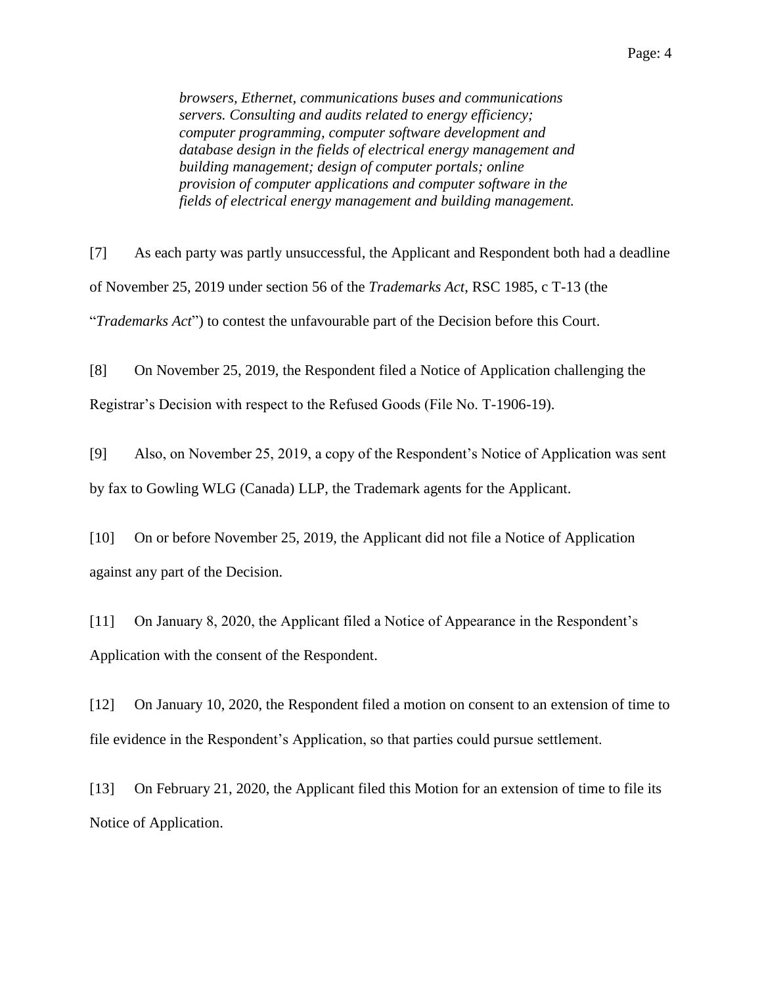*browsers, Ethernet, communications buses and communications servers. Consulting and audits related to energy efficiency; computer programming, computer software development and database design in the fields of electrical energy management and building management; design of computer portals; online provision of computer applications and computer software in the fields of electrical energy management and building management.*

[7] As each party was partly unsuccessful, the Applicant and Respondent both had a deadline of November 25, 2019 under section 56 of the *Trademarks Act*, RSC 1985, c T-13 (the "*Trademarks Act*") to contest the unfavourable part of the Decision before this Court.

[8] On November 25, 2019, the Respondent filed a Notice of Application challenging the Registrar's Decision with respect to the Refused Goods (File No. T-1906-19).

[9] Also, on November 25, 2019, a copy of the Respondent's Notice of Application was sent by fax to Gowling WLG (Canada) LLP, the Trademark agents for the Applicant.

[10] On or before November 25, 2019, the Applicant did not file a Notice of Application against any part of the Decision.

[11] On January 8, 2020, the Applicant filed a Notice of Appearance in the Respondent's Application with the consent of the Respondent.

[12] On January 10, 2020, the Respondent filed a motion on consent to an extension of time to file evidence in the Respondent's Application, so that parties could pursue settlement.

[13] On February 21, 2020, the Applicant filed this Motion for an extension of time to file its Notice of Application.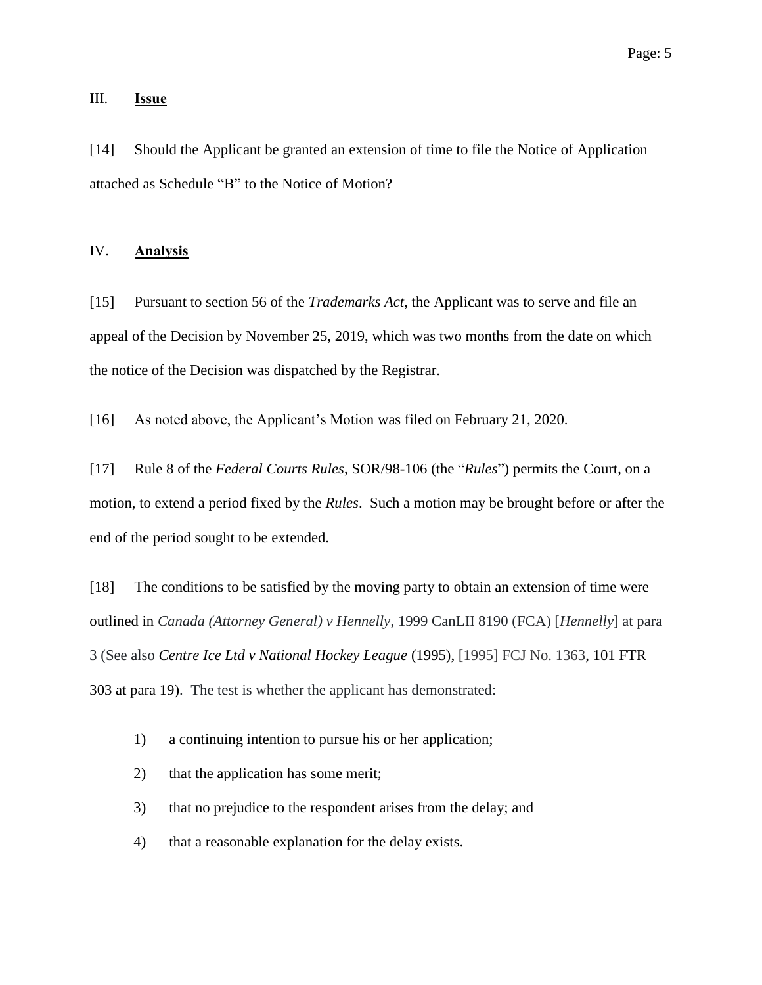### III. **Issue**

[14] Should the Applicant be granted an extension of time to file the Notice of Application attached as Schedule "B" to the Notice of Motion?

#### IV. **Analysis**

[15] Pursuant to section 56 of the *Trademarks Act*, the Applicant was to serve and file an appeal of the Decision by November 25, 2019, which was two months from the date on which the notice of the Decision was dispatched by the Registrar.

[16] As noted above, the Applicant's Motion was filed on February 21, 2020.

[17] Rule 8 of the *Federal Courts Rules*, SOR/98-106 (the "*Rules*") permits the Court, on a motion, to extend a period fixed by the *Rules*. Such a motion may be brought before or after the end of the period sought to be extended.

[18] The conditions to be satisfied by the moving party to obtain an extension of time were outlined in *Canada (Attorney General) v Hennelly*, 1999 CanLII 8190 (FCA) [*Hennelly*] at para 3 (See also *Centre Ice Ltd v National Hockey League* (1995), [1995] FCJ No. 1363, 101 FTR 303 at para 19). The test is whether the applicant has demonstrated:

- 1) a continuing intention to pursue his or her application;
- 2) that the application has some merit;
- 3) that no prejudice to the respondent arises from the delay; and
- 4) that a reasonable explanation for the delay exists.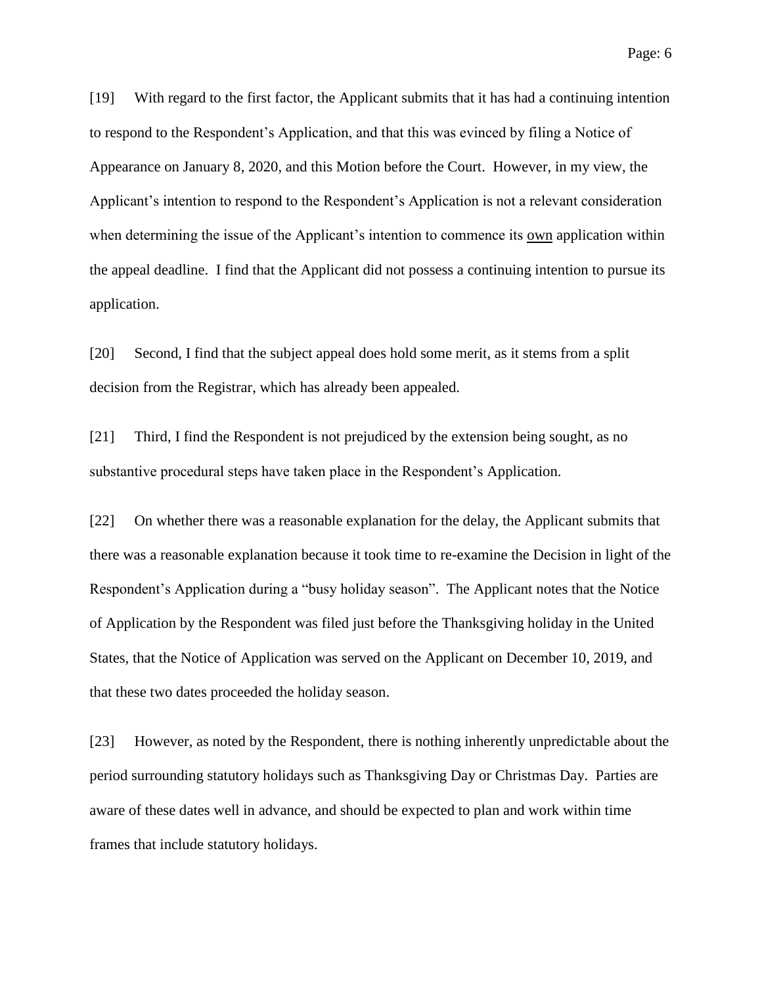[19] With regard to the first factor, the Applicant submits that it has had a continuing intention to respond to the Respondent's Application, and that this was evinced by filing a Notice of Appearance on January 8, 2020, and this Motion before the Court. However, in my view, the Applicant's intention to respond to the Respondent's Application is not a relevant consideration when determining the issue of the Applicant's intention to commence its own application within the appeal deadline. I find that the Applicant did not possess a continuing intention to pursue its application.

[20] Second, I find that the subject appeal does hold some merit, as it stems from a split decision from the Registrar, which has already been appealed.

[21] Third, I find the Respondent is not prejudiced by the extension being sought, as no substantive procedural steps have taken place in the Respondent's Application.

[22] On whether there was a reasonable explanation for the delay, the Applicant submits that there was a reasonable explanation because it took time to re-examine the Decision in light of the Respondent's Application during a "busy holiday season". The Applicant notes that the Notice of Application by the Respondent was filed just before the Thanksgiving holiday in the United States, that the Notice of Application was served on the Applicant on December 10, 2019, and that these two dates proceeded the holiday season.

[23] However, as noted by the Respondent, there is nothing inherently unpredictable about the period surrounding statutory holidays such as Thanksgiving Day or Christmas Day. Parties are aware of these dates well in advance, and should be expected to plan and work within time frames that include statutory holidays.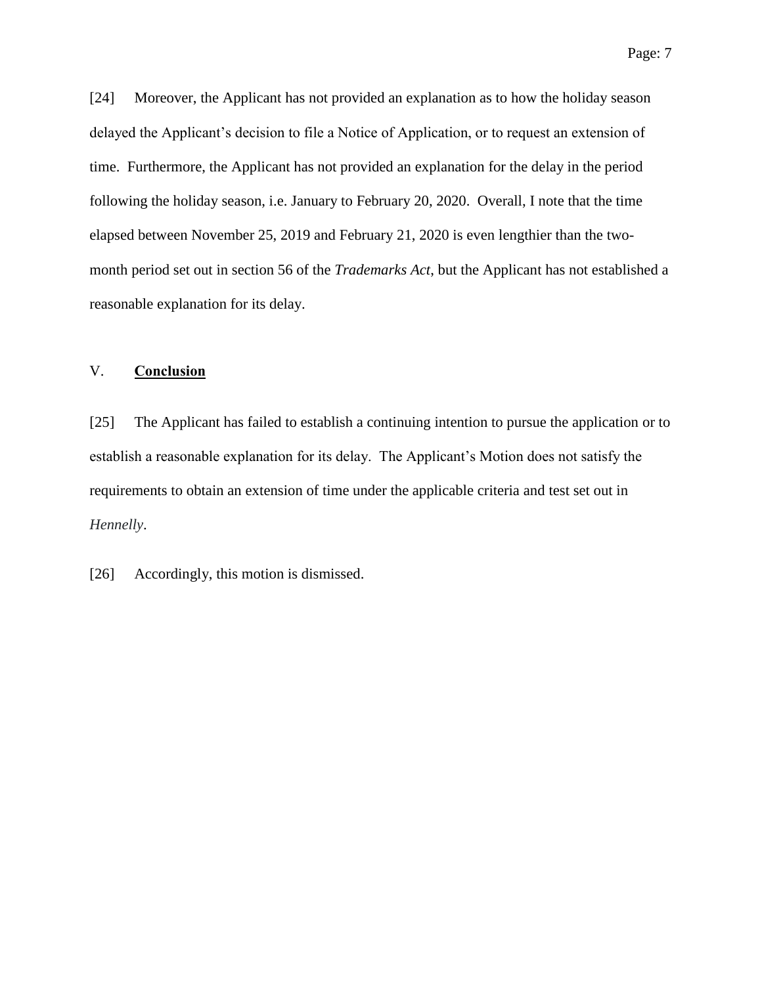[24] Moreover, the Applicant has not provided an explanation as to how the holiday season delayed the Applicant's decision to file a Notice of Application, or to request an extension of time. Furthermore, the Applicant has not provided an explanation for the delay in the period following the holiday season, i.e. January to February 20, 2020. Overall, I note that the time elapsed between November 25, 2019 and February 21, 2020 is even lengthier than the twomonth period set out in section 56 of the *Trademarks Act*, but the Applicant has not established a reasonable explanation for its delay.

# V. **Conclusion**

[25] The Applicant has failed to establish a continuing intention to pursue the application or to establish a reasonable explanation for its delay. The Applicant's Motion does not satisfy the requirements to obtain an extension of time under the applicable criteria and test set out in *Hennelly*.

[26] Accordingly, this motion is dismissed.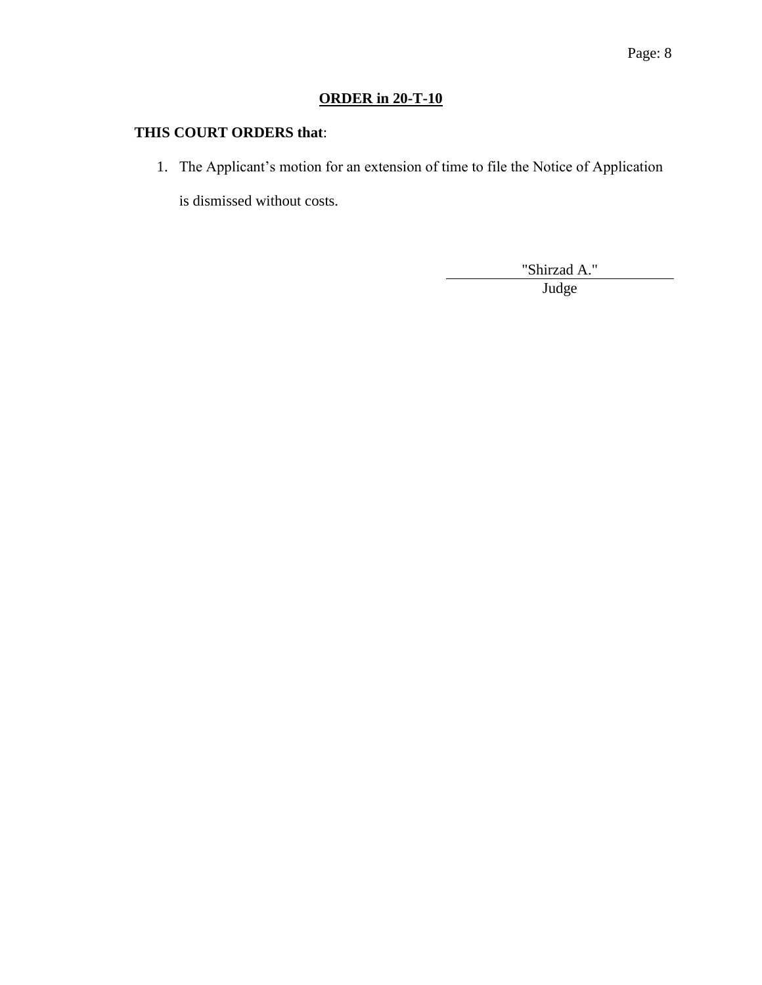# **ORDER in 20-T-10**

# **THIS COURT ORDERS that**:

1. The Applicant's motion for an extension of time to file the Notice of Application

is dismissed without costs.

"Shirzad A."

Judge